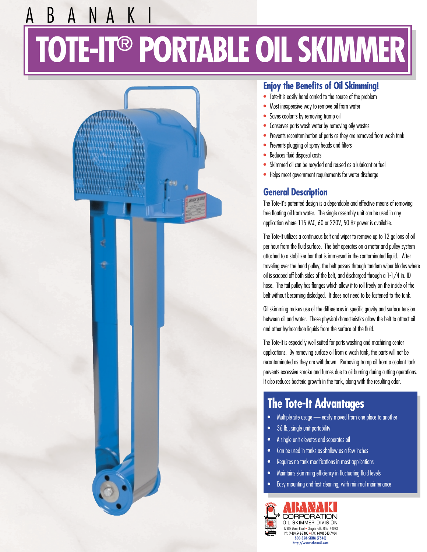# A B A N A K I **TOTE-IT® PORTABLE OIL SKIMMER**



#### **Enjoy the Benefits of Oil Skimming!**

- Tote-It is easily hand carried to the source of the problem
- Most inexpensive way to remove oil from water
- Saves coolants by removing tramp oil
- Conserves parts wash water by removing oily wastes
- Prevents recontamination of parts as they are removed from wash tank
- Prevents plugging of spray heads and filters
- Reduces fluid disposal costs
- Skimmed oil can be recycled and reused as a lubricant or fuel
- Helps meet government requirements for water discharge

#### **General Description**

The Tote-It's patented design is a dependable and effective means of removing free floating oil from water. The single assembly unit can be used in any application where 115 VAC, 60 or 220V, 50 Hz power is available.

The Tote-It utilizes a continuous belt and wiper to remove up to 12 gallons of oil per hour from the fluid surface. The belt operates on a motor and pulley system attached to a stabilizer bar that is immersed in the contaminated liquid. After traveling over the head pulley, the belt passes through tandem wiper blades where oil is scraped off both sides of the belt, and discharged through a 1-1/4 in. ID hose. The tail pulley has flanges which allow it to roll freely on the inside of the belt without becoming dislodged. It does not need to be fastened to the tank.

Oil skimming makes use of the differences in specific gravity and surface tension between oil and water. These physical characteristics allow the belt to attract oil and other hydrocarbon liquids from the surface of the fluid.

The Tote-It is especially well suited for parts washing and machining center applications. By removing surface oil from a wash tank, the parts will not be recontaminated as they are withdrawn. Removing tramp oil from a coolant tank prevents excessive smoke and fumes due to oil burning during cutting operations. It also reduces bacteria growth in the tank, along with the resulting odor.

#### **The Tote-It Advantages**

- Multiple site usage easily moved from one place to another
- 36 lb., single unit portability
- A single unit elevates and separates oil
- Can be used in tanks as shallow as a few inches
- Requires no tank modifications in most applications
- Maintains skimming efficiency in fluctuating fluid levels
- Easy mounting and fast cleaning, with minimal maintenance

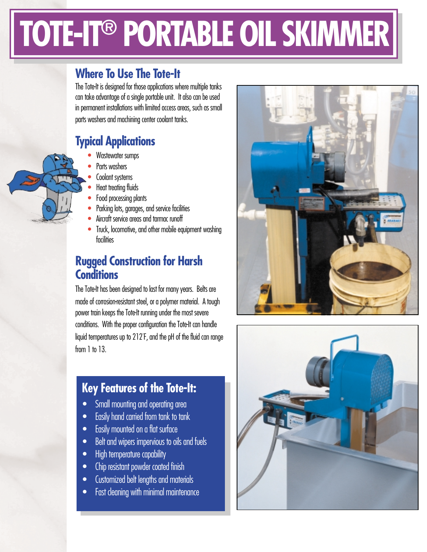# **TOTE-IT® PORTABLE OIL SKIMMER**

#### **Where To Use The Tote-It**

The Tote-It is designed for those applications where multiple tanks can take advantage of a single portable unit. It also can be used in permanent installations with limited access areas, such as small parts washers and machining center coolant tanks.

### **Typical Applications**

- Wastewater sumps
- Parts washers
- Coolant systems
- Heat treating fluids
- Food processing plants
- Parking lots, garages, and service facilities
- Aircraft service areas and tarmac runoff
- Truck, locomotive, and other mobile equipment washing facilities

### **Rugged Construction for Harsh Conditions**

The Tote-It has been designed to last for many years. Belts are made of corrosion-resistant steel, or a polymer material. A tough power train keeps the Tote-It running under the most severe conditions. With the proper configuration the Tote-It can handle liquid temperatures up to 212˚ F, and the pH of the fluid can range from 1 to 13.

## **Key Features of the Tote-It:**

- Small mounting and operating area
- Easily hand carried from tank to tank
- Easily mounted on a flat surface
- Belt and wipers impervious to oils and fuels
- High temperature capability
- Chip resistant powder coated finish
- Customized belt lengths and materials
- Fast cleaning with minimal maintenance





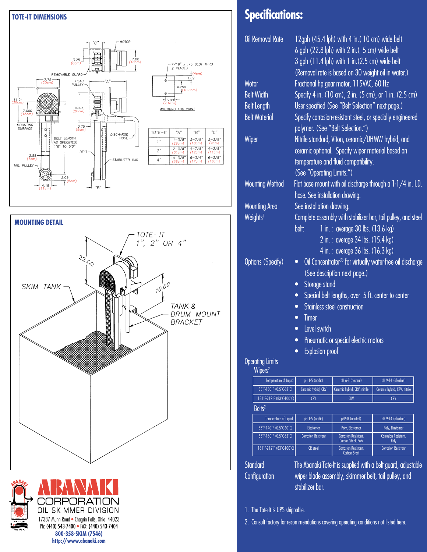



### **Specifications:**

| Oil Removal Rate                                                                                         | 12gph (45.4 lph) with 4 in. (10 cm) wide belt<br>6 gph (22.8 lph) with 2 in. (5 cm) wide belt<br>3 gph (11.4 lph) with 1 in. (2.5 cm) wide belt<br>(Removal rate is based on 30 weight oil in water.) |                                                                                                          |                                                                      |                                                |                 |                  |                    |
|----------------------------------------------------------------------------------------------------------|-------------------------------------------------------------------------------------------------------------------------------------------------------------------------------------------------------|----------------------------------------------------------------------------------------------------------|----------------------------------------------------------------------|------------------------------------------------|-----------------|------------------|--------------------|
| Motor                                                                                                    | Fractional hp gear motor, 115VAC, 60 Hz                                                                                                                                                               |                                                                                                          |                                                                      |                                                |                 |                  |                    |
| <b>Belt Width</b>                                                                                        | Specify 4 in. (10 cm), 2 in. (5 cm), or 1 in. (2.5 cm)                                                                                                                                                |                                                                                                          |                                                                      |                                                |                 |                  |                    |
| <b>Belt Length</b>                                                                                       | User specified (See "Belt Selection" next page.)                                                                                                                                                      |                                                                                                          |                                                                      |                                                |                 |                  |                    |
| <b>Belt Material</b>                                                                                     | Specify corrosion-resistant steel, or specially engineered                                                                                                                                            |                                                                                                          |                                                                      |                                                |                 |                  |                    |
|                                                                                                          |                                                                                                                                                                                                       |                                                                                                          |                                                                      |                                                |                 |                  |                    |
|                                                                                                          | polymer. (See "Belt Selection.")                                                                                                                                                                      |                                                                                                          |                                                                      |                                                |                 |                  |                    |
| Wiper                                                                                                    | Nitrile standard, Viton, ceramic/UHMW hybrid, and                                                                                                                                                     |                                                                                                          |                                                                      |                                                |                 |                  |                    |
|                                                                                                          | ceramic optional. Specify wiper material based on                                                                                                                                                     |                                                                                                          |                                                                      |                                                |                 |                  |                    |
|                                                                                                          | temperature and fluid compatibility.                                                                                                                                                                  |                                                                                                          |                                                                      |                                                |                 |                  |                    |
|                                                                                                          | (See "Operating Limits.")                                                                                                                                                                             |                                                                                                          |                                                                      |                                                |                 |                  |                    |
| Mounting Method                                                                                          | Flat base mount with oil discharge through a $1-1/4$ in. I.D.<br>hose. See installation drawing.                                                                                                      |                                                                                                          |                                                                      |                                                |                 |                  |                    |
| Mounting Area                                                                                            | See installation drawing.                                                                                                                                                                             |                                                                                                          |                                                                      |                                                |                 |                  |                    |
| Weights <sup>1</sup>                                                                                     | Complete assembly with stabilizer bar, tail pulley, and steel                                                                                                                                         |                                                                                                          |                                                                      |                                                |                 |                  |                    |
| Options (Specify)                                                                                        | belt:<br>$\bullet$                                                                                                                                                                                    | 1 in.: average 30 lbs. (13.6 kg)<br>2 in.: average 34 lbs. (15.4 kg)<br>4 in.: average 36 lbs. (16.3 kg) | Oil Concentrator <sup>®</sup> for virtually water-free oil discharge |                                                |                 |                  |                    |
|                                                                                                          | (See description next page.)<br>Storage stand<br>$\bullet$<br>Special belt lengths, over 5 ft. center to center<br>$\bullet$                                                                          |                                                                                                          |                                                                      |                                                |                 |                  |                    |
| Stainless steel construction<br>$\bullet$                                                                |                                                                                                                                                                                                       |                                                                                                          |                                                                      |                                                |                 |                  |                    |
|                                                                                                          |                                                                                                                                                                                                       |                                                                                                          |                                                                      |                                                |                 |                  |                    |
|                                                                                                          | Timer<br>$\bullet$                                                                                                                                                                                    |                                                                                                          |                                                                      |                                                |                 |                  |                    |
| Level switch<br>$\bullet$<br>Pneumatic or special electric motors<br>$\bullet$<br><b>Explosion proof</b> |                                                                                                                                                                                                       |                                                                                                          |                                                                      |                                                |                 |                  |                    |
|                                                                                                          |                                                                                                                                                                                                       |                                                                                                          |                                                                      | <b>Operating Limits</b><br>Wipers <sup>2</sup> |                 |                  |                    |
|                                                                                                          |                                                                                                                                                                                                       |                                                                                                          |                                                                      | Temperature of Liquid                          | pH 1-5 (acidic) | pH 6-8 (neutral) | pH 9-14 (alkaline) |
| 33°F-180°F (0.5°C-82°C)                                                                                  | Ceramic hybrid, CRV                                                                                                                                                                                   | Ceramic hybrid, CRV, nitrile                                                                             | Ceramic hybrid, CRV, nitrile                                         |                                                |                 |                  |                    |
| 181°F-212°F (83°C-100°C)<br>Belts <sup>2</sup>                                                           | <b>CRV</b>                                                                                                                                                                                            | <b>CRV</b>                                                                                               | <b>CRV</b>                                                           |                                                |                 |                  |                    |
|                                                                                                          |                                                                                                                                                                                                       |                                                                                                          |                                                                      |                                                |                 |                  |                    |
| <b>Temperature of Liquid</b><br>33°F-140°F (0.5°C-60°C)                                                  | pH 1-5 (acidic)<br>Elastomer                                                                                                                                                                          | pH6-8 (neutral)<br>Poly, Elastomer                                                                       | pH 9-14 (alkaline)<br>Poly, Elastomer                                |                                                |                 |                  |                    |
| 33°F-180°F (0.5°C-82°C)                                                                                  | <b>Corrosion Resistant</b>                                                                                                                                                                            | <b>Corrosion Resistant,</b>                                                                              | Corrosion Resistant,                                                 |                                                |                 |                  |                    |
| 181°F-212°F (83°C-100°C)                                                                                 | <b>CR</b> steel                                                                                                                                                                                       | Carbon Steel, Poly<br>Corrosion Resistant,                                                               | Poly<br><b>Corrosion Resistant</b>                                   |                                                |                 |                  |                    |
|                                                                                                          |                                                                                                                                                                                                       | Carbon Steel                                                                                             |                                                                      |                                                |                 |                  |                    |

Standard The Abanaki Tote-It is supplied with a belt guard, adjustable Configuration wiper blade assembly, skimmer belt, tail pulley, and stabilizer bar.

1. The Tote-It is UPS shippable.

2. Consult factory for recommendations covering operating conditions not listed here.